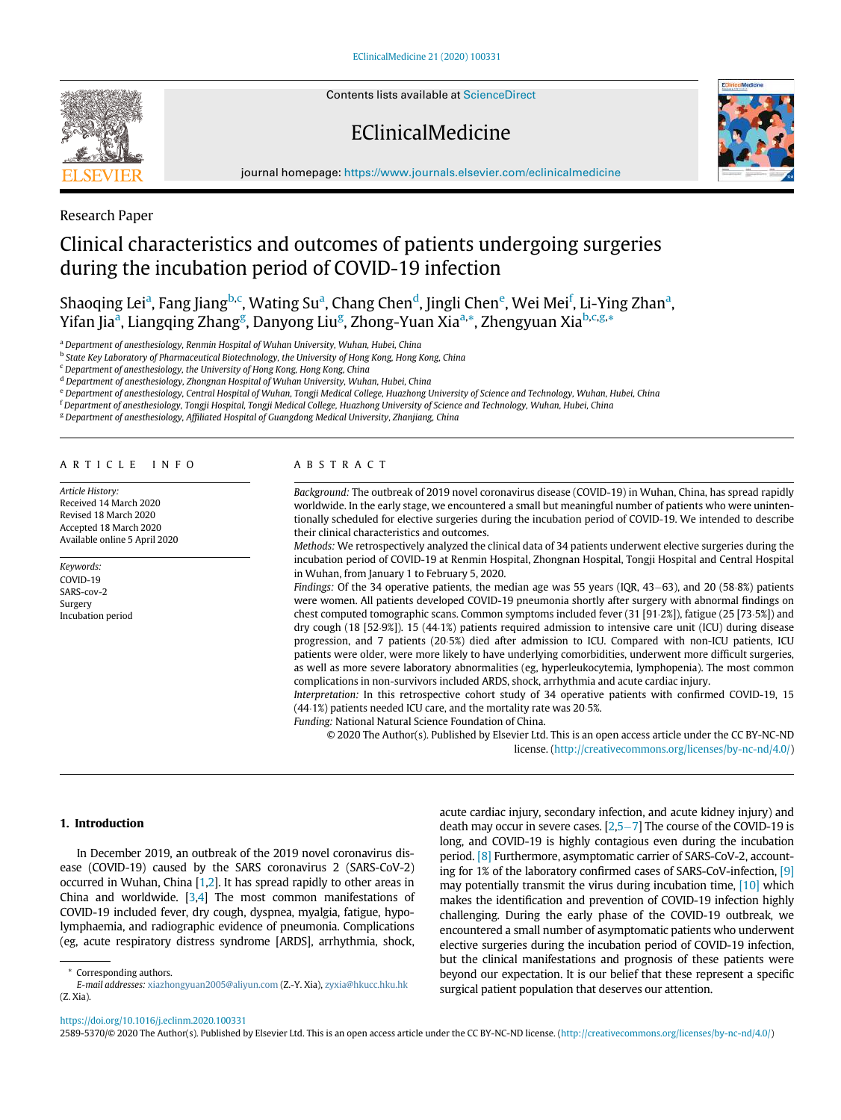Contents lists available at [ScienceDirect](http://www.ScienceDirect.com)

# EClinicalMedicine



journal homepage: [https://www.journals.elsevier.com/eclinicalmedicine](http://https://www.journals.elsevier.com/eclinicalmedicine)

## Research Paper

## Clinical characteristics and outcomes of patients undergoing surgeries during the incubation period of COVID-19 infection

Shaoqing Lei<sup>a</sup>, Fang J[ia](#page-0-0)ng<sup>[b,](#page-0-1)[c](#page-0-2)</sup>, Wating Su<sup>a</sup>, Chang Chen<sup>[d](#page-0-3)</sup>, Jingli Ch[e](#page-0-4)n<sup>e</sup>, Wei Mei<sup>[f](#page-0-5)</sup>, Li-Ying Zh[a](#page-0-0)n<sup>a</sup>, Yif[a](#page-0-0)n Jia<sup>a</sup>, Lian[g](#page-0-6)qing Zhang<sup>g</sup>, Danyong Liu<sup>g</sup>, Zhong-Yuan Xia<sup>[a,](#page-0-0)</sup>[\\*,](#page-0-7) Zhengyuan Xia<sup>[b](#page-0-1),[c,](#page-0-2)[g,](#page-0-6)</sup>[\\*](#page-0-7)

a Department of anesthesiology, Renmin Hospital of Wuhan University, Wuhan, Hubei, China

<span id="page-0-1"></span><span id="page-0-0"></span><sup>b</sup> State Key Laboratory of Pharmaceutical Biotechnology, the University of Hong Kong, Hong Kong, China

<span id="page-0-2"></span><sup>c</sup> Department of anesthesiology, the University of Hong Kong, Hong Kong, China

<span id="page-0-3"></span><sup>d</sup> Department of anesthesiology, Zhongnan Hospital of Wuhan University, Wuhan, Hubei, China

<span id="page-0-4"></span>e Department of anesthesiology, Central Hospital of Wuhan, Tongji Medical College, Huazhong University of Science and Technology, Wuhan, Hubei, China

<span id="page-0-5"></span><sup>f</sup> Department of anesthesiology, Tongji Hospital, Tongji Medical College, Huazhong University of Science and Technology, Wuhan, Hubei, China

<span id="page-0-6"></span><sup>g</sup> Department of anesthesiology, Affiliated Hospital of Guangdong Medical University, Zhanjiang, China

#### ARTICLE INFO

Article History: Received 14 March 2020 Revised 18 March 2020 Accepted 18 March 2020 Available online 5 April 2020

Keywords: COVID-19 SARS-cov-2 Surgery Incubation period

## ABSTRACT

Background: The outbreak of 2019 novel coronavirus disease (COVID-19) in Wuhan, China, has spread rapidly worldwide. In the early stage, we encountered a small but meaningful number of patients who were unintentionally scheduled for elective surgeries during the incubation period of COVID-19. We intended to describe their clinical characteristics and outcomes.

Methods: We retrospectively analyzed the clinical data of 34 patients underwent elective surgeries during the incubation period of COVID-19 at Renmin Hospital, Zhongnan Hospital, Tongji Hospital and Central Hospital in Wuhan, from January 1 to February 5, 2020.

Findings: Of the 34 operative patients, the median age was 55 years (IOR,  $43-63$ ), and 20 (58 $\cdot$ 8%) patients were women. All patients developed COVID-19 pneumonia shortly after surgery with abnormal findings on chest computed tomographic scans. Common symptoms included fever (31 [91 $\cdot$ 2%]), fatigue (25 [73 $\cdot$ 5%]) and dry cough (18 [52.9%]). 15 (44.1%) patients required admission to intensive care unit (ICU) during disease progression, and 7 patients (20.5%) died after admission to ICU. Compared with non-ICU patients, ICU patients were older, were more likely to have underlying comorbidities, underwent more difficult surgeries, as well as more severe laboratory abnormalities (eg, hyperleukocytemia, lymphopenia). The most common complications in non-survivors included ARDS, shock, arrhythmia and acute cardiac injury.

Interpretation: In this retrospective cohort study of 34 operative patients with confirmed COVID-19, 15  $(44.1%)$  patients needed ICU care, and the mortality rate was 20.5%.

Funding: National Natural Science Foundation of China.

© 2020 The Author(s). Published by Elsevier Ltd. This is an open access article under the CC BY-NC-ND license. ([http://creativecommons.org/licenses/by-nc-nd/4.0/\)](http://creativecommons.org/licenses/by-nc-nd/4.0/)

#### 1. Introduction

In December 2019, an outbreak of the 2019 novel coronavirus disease (COVID-19) caused by the SARS coronavirus 2 (SARS-CoV-2) occurred in Wuhan, China [\[1](#page-6-0)[,2\]](#page-6-1). It has spread rapidly to other areas in China and worldwide. [\[3](#page-6-2)[,4\]](#page-6-3) The most common manifestations of COVID-19 included fever, dry cough, dyspnea, myalgia, fatigue, hypolymphaemia, and radiographic evidence of pneumonia. Complications (eg, acute respiratory distress syndrome [ARDS], arrhythmia, shock, acute cardiac injury, secondary infection, and acute kidney injury) and death may occur in severe cases.  $[2,5-7]$  $[2,5-7]$  $[2,5-7]$  $[2,5-7]$  $[2,5-7]$  The course of the COVID-19 is long, and COVID-19 is highly contagious even during the incubation period. [\[8\]](#page-6-5) Furthermore, asymptomatic carrier of SARS-CoV-2, accounting for 1% of the laboratory confirmed cases of SARS-CoV-infection, [\[9\]](#page-6-6) may potentially transmit the virus during incubation time, [\[10\]](#page-6-7) which makes the identification and prevention of COVID-19 infection highly challenging. During the early phase of the COVID-19 outbreak, we encountered a small number of asymptomatic patients who underwent elective surgeries during the incubation period of COVID-19 infection, but the clinical manifestations and prognosis of these patients were beyond our expectation. It is our belief that these represent a specific surgical patient population that deserves our attention.

2589-5370/© 2020 The Author(s). Published by Elsevier Ltd. This is an open access article under the CC BY-NC-ND license. [\(http://creativecommons.org/licenses/by-nc-nd/4.0/](http://creativecommons.org/licenses/by-nc-nd/4.0/))

Corresponding authors.

<span id="page-0-7"></span>E-mail addresses: [xiazhongyuan2005@aliyun.com](mailto:xiazhongyuan2005@aliyun.com) (Z.-Y. Xia), [zyxia@hkucc.hku.hk](mailto:zyxia@hkucc.hku.hk) (Z. Xia).

<https://doi.org/10.1016/j.eclinm.2020.100331>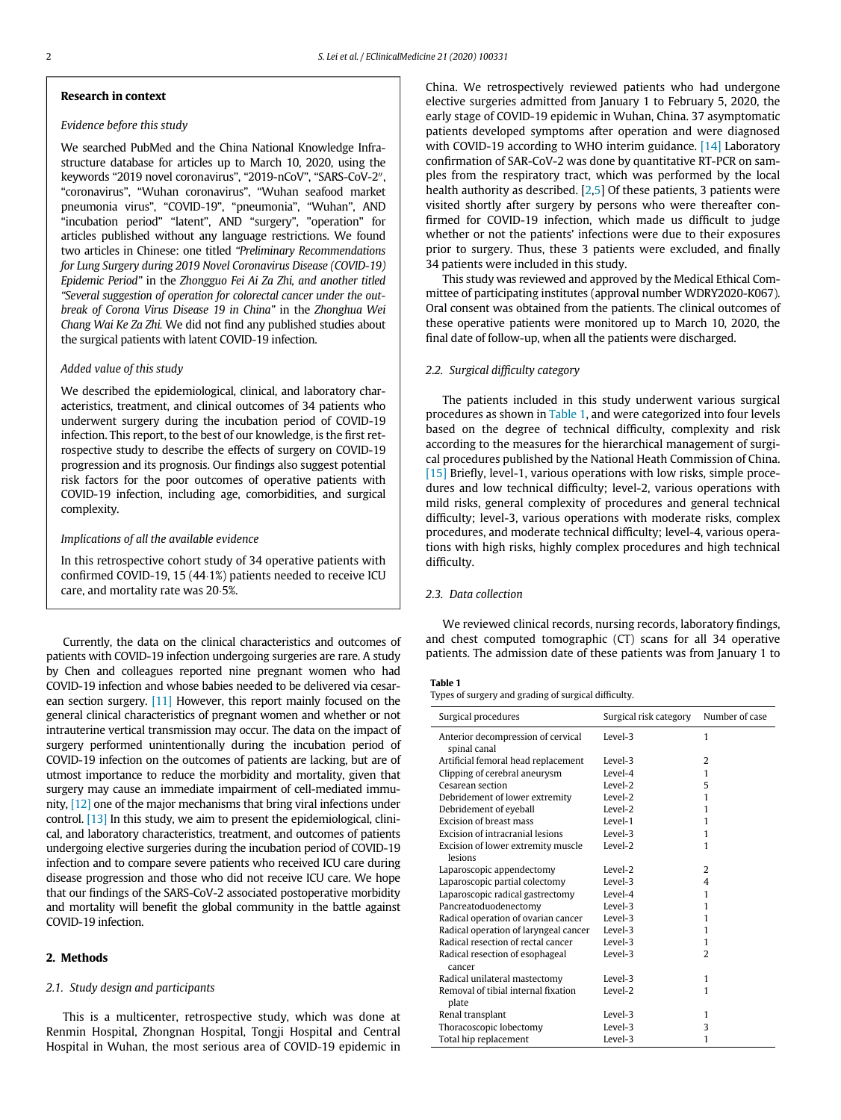#### Research in context

#### Evidence before this study

We searched PubMed and the China National Knowledge Infrastructure database for articles up to March 10, 2020, using the keywords "2019 novel coronavirus", "2019-nCoV", "SARS-CoV-2", "coronavirus", "Wuhan coronavirus", "Wuhan seafood market pneumonia virus", "COVID-19", "pneumonia", "Wuhan", AND "incubation period" "latent", AND "surgery", "operation" for articles published without any language restrictions. We found two articles in Chinese: one titled "Preliminary Recommendations for Lung Surgery during 2019 Novel Coronavirus Disease (COVID-19) Epidemic Period" in the Zhongguo Fei Ai Za Zhi, and another titled "Several suggestion of operation for colorectal cancer under the outbreak of Corona Virus Disease 19 in China" in the Zhonghua Wei Chang Wai Ke Za Zhi. We did not find any published studies about the surgical patients with latent COVID-19 infection.

### Added value of this study

We described the epidemiological, clinical, and laboratory characteristics, treatment, and clinical outcomes of 34 patients who underwent surgery during the incubation period of COVID-19 infection. This report, to the best of our knowledge, is the first retrospective study to describe the effects of surgery on COVID-19 progression and its prognosis. Our findings also suggest potential risk factors for the poor outcomes of operative patients with COVID-19 infection, including age, comorbidities, and surgical complexity.

## Implications of all the available evidence

In this retrospective cohort study of 34 operative patients with confirmed COVID-19, 15  $(44.1%)$  patients needed to receive ICU care, and mortality rate was 20.5%.

<span id="page-1-0"></span>Currently, the data on the clinical characteristics and outcomes of patients with COVID-19 infection undergoing surgeries are rare. A study by Chen and colleagues reported nine pregnant women who had COVID-19 infection and whose babies needed to be delivered via cesarean section surgery. [\[11\]](#page-6-8) However, this report mainly focused on the general clinical characteristics of pregnant women and whether or not intrauterine vertical transmission may occur. The data on the impact of surgery performed unintentionally during the incubation period of COVID-19 infection on the outcomes of patients are lacking, but are of utmost importance to reduce the morbidity and mortality, given that surgery may cause an immediate impairment of cell-mediated immunity, [\[12\]](#page-7-0) one of the major mechanisms that bring viral infections under control. [\[13\]](#page-7-1) In this study, we aim to present the epidemiological, clinical, and laboratory characteristics, treatment, and outcomes of patients undergoing elective surgeries during the incubation period of COVID-19 infection and to compare severe patients who received ICU care during disease progression and those who did not receive ICU care. We hope that our findings of the SARS-CoV-2 associated postoperative morbidity and mortality will benefit the global community in the battle against COVID-19 infection.

## 2. Methods

#### 2.1. Study design and participants

This is a multicenter, retrospective study, which was done at Renmin Hospital, Zhongnan Hospital, Tongji Hospital and Central Hospital in Wuhan, the most serious area of COVID-19 epidemic in China. We retrospectively reviewed patients who had undergone elective surgeries admitted from January 1 to February 5, 2020, the early stage of COVID-19 epidemic in Wuhan, China. 37 asymptomatic patients developed symptoms after operation and were diagnosed with COVID-19 according to WHO interim guidance. [\[14\]](#page-7-2) Laboratory confirmation of SAR-CoV-2 was done by quantitative RT-PCR on samples from the respiratory tract, which was performed by the local health authority as described. [[2](#page-6-1)[,5\]](#page-6-4) Of these patients, 3 patients were visited shortly after surgery by persons who were thereafter confirmed for COVID-19 infection, which made us difficult to judge whether or not the patients' infections were due to their exposures prior to surgery. Thus, these 3 patients were excluded, and finally 34 patients were included in this study.

This study was reviewed and approved by the Medical Ethical Committee of participating institutes (approval number WDRY2020-K067). Oral consent was obtained from the patients. The clinical outcomes of these operative patients were monitored up to March 10, 2020, the final date of follow-up, when all the patients were discharged.

## 2.2. Surgical difficulty category

The patients included in this study underwent various surgical procedures as shown in [Table 1](#page-1-0), and were categorized into four levels based on the degree of technical difficulty, complexity and risk according to the measures for the hierarchical management of surgical procedures published by the National Heath Commission of China. [\[15\]](#page-7-3) Briefly, level-1, various operations with low risks, simple procedures and low technical difficulty; level-2, various operations with mild risks, general complexity of procedures and general technical difficulty; level-3, various operations with moderate risks, complex procedures, and moderate technical difficulty; level-4, various operations with high risks, highly complex procedures and high technical difficulty.

## 2.3. Data collection

We reviewed clinical records, nursing records, laboratory findings, and chest computed tomographic (CT) scans for all 34 operative patients. The admission date of these patients was from January 1 to

## Table 1

Types of surgery and grading of surgical difficulty.

| Surgical procedures                                | Surgical risk category | Number of case |
|----------------------------------------------------|------------------------|----------------|
| Anterior decompression of cervical<br>spinal canal | Level-3                | 1              |
| Artificial femoral head replacement                | Level-3                | $\overline{2}$ |
| Clipping of cerebral aneurysm                      | Level-4                | 1              |
| Cesarean section                                   | Level-2                | 5              |
| Debridement of lower extremity                     | Level-2                | 1              |
| Debridement of eyeball                             | Level-2                | 1              |
| <b>Excision of breast mass</b>                     | Level-1                | 1              |
| Excision of intracranial lesions                   | Level-3                | 1              |
| Excision of lower extremity muscle<br>lesions      | Level-2                | 1              |
| Laparoscopic appendectomy                          | Level-2                | $\overline{2}$ |
| Laparoscopic partial colectomy                     | Level-3                | 4              |
| Laparoscopic radical gastrectomy                   | Level-4                | 1              |
| Pancreatoduodenectomy                              | Level-3                | 1              |
| Radical operation of ovarian cancer                | Level-3                | 1              |
| Radical operation of laryngeal cancer              | Level-3                | 1              |
| Radical resection of rectal cancer                 | Level-3                | 1              |
| Radical resection of esophageal<br>cancer          | Level-3                | $\overline{2}$ |
| Radical unilateral mastectomy                      | Level-3                | 1              |
| Removal of tibial internal fixation                | Level-2                | 1              |
| plate                                              |                        |                |
| Renal transplant                                   | Level-3                | 1              |
| Thoracoscopic lobectomy                            | Level-3                | 3              |
| Total hip replacement                              | Level-3                | 1              |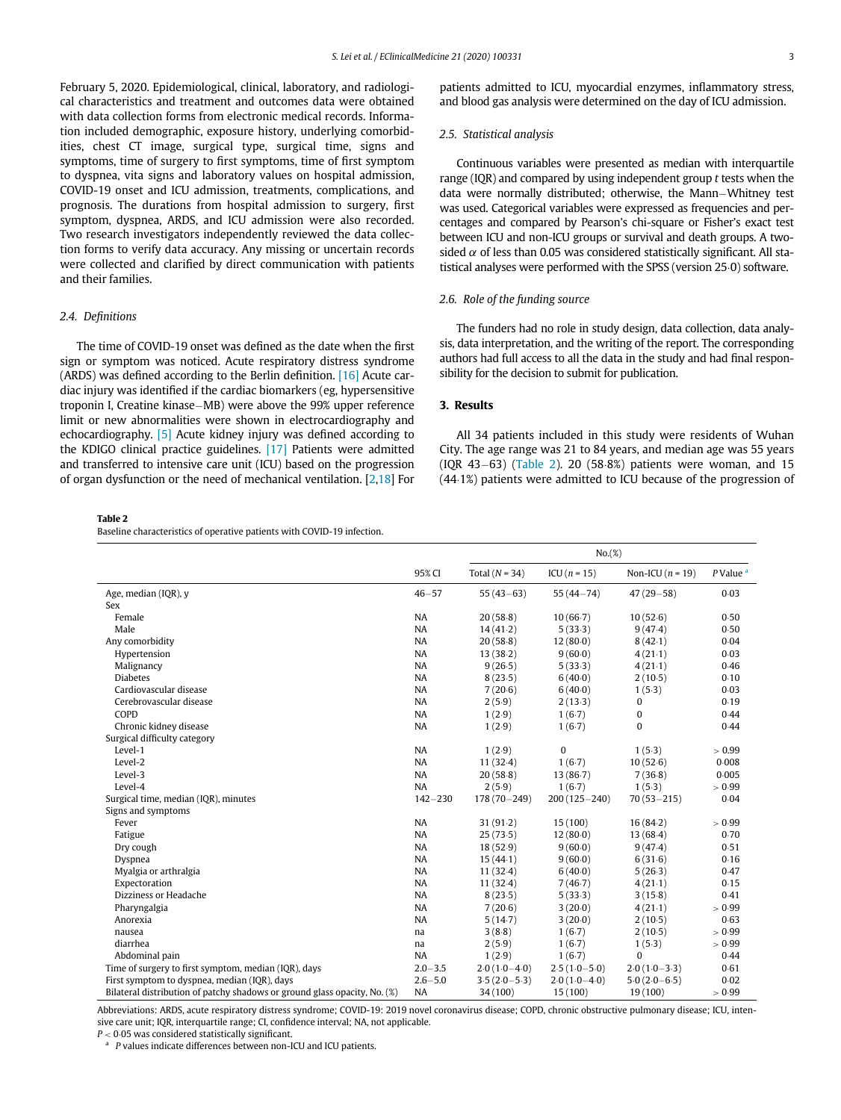February 5, 2020. Epidemiological, clinical, laboratory, and radiological characteristics and treatment and outcomes data were obtained with data collection forms from electronic medical records. Information included demographic, exposure history, underlying comorbidities, chest CT image, surgical type, surgical time, signs and symptoms, time of surgery to first symptoms, time of first symptom to dyspnea, vita signs and laboratory values on hospital admission, COVID-19 onset and ICU admission, treatments, complications, and prognosis. The durations from hospital admission to surgery, first symptom, dyspnea, ARDS, and ICU admission were also recorded. Two research investigators independently reviewed the data collection forms to verify data accuracy. Any missing or uncertain records were collected and clarified by direct communication with patients and their families.

#### 2.4. Definitions

The time of COVID-19 onset was defined as the date when the first sign or symptom was noticed. Acute respiratory distress syndrome (ARDS) was defined according to the Berlin definition.  $[16]$  Acute cardiac injury was identified if the cardiac biomarkers (eg, hypersensitive troponin I, Creatine kinase–MB) were above the 99% upper reference limit or new abnormalities were shown in electrocardiography and echocardiography. [\[5\]](#page-6-4) Acute kidney injury was defined according to the KDIGO clinical practice guidelines. [\[17\]](#page-7-5) Patients were admitted and transferred to intensive care unit (ICU) based on the progression of organ dysfunction or the need of mechanical ventilation. [[2](#page-6-1),[18\]](#page-7-6) For

<span id="page-2-0"></span>Table 2

Baseline characteristics of operative patients with COVID-19 infection.

patients admitted to ICU, myocardial enzymes, inflammatory stress, and blood gas analysis were determined on the day of ICU admission.

## 2.5. Statistical analysis

Continuous variables were presented as median with interquartile range (IQR) and compared by using independent group  $t$  tests when the data were normally distributed; otherwise, the Mann-Whitney test was used. Categorical variables were expressed as frequencies and percentages and compared by Pearson's chi-square or Fisher's exact test between ICU and non-ICU groups or survival and death groups. A twosided  $\alpha$  of less than 0.05 was considered statistically significant. All statistical analyses were performed with the SPSS (version 25 $0$ ) software.

## 2.6. Role of the funding source

The funders had no role in study design, data collection, data analysis, data interpretation, and the writing of the report. The corresponding authors had full access to all the data in the study and had final responsibility for the decision to submit for publication.

#### 3. Results

All 34 patients included in this study were residents of Wuhan City. The age range was 21 to 84 years, and median age was 55 years  $( IQR 43-63)$   $( Table 2)$  $( Table 2)$ . 20  $(58.8%)$  patients were woman, and 15 (44.1%) patients were admitted to ICU because of the progression of

|                                                                           |             | No.(%)           |                  |                    |                        |
|---------------------------------------------------------------------------|-------------|------------------|------------------|--------------------|------------------------|
|                                                                           | 95% CI      | Total $(N = 34)$ | ICU $(n = 15)$   | Non-ICU $(n = 19)$ | $P$ Value <sup>a</sup> |
| Age, median (IQR), y                                                      | $46 - 57$   | $55(43-63)$      | $55(44 - 74)$    | $47(29 - 58)$      | 0.03                   |
| Sex                                                                       |             |                  |                  |                    |                        |
| Female                                                                    | NA          | 20(58.8)         | 10(66.7)         | 10(52.6)           | 0.50                   |
| Male                                                                      | <b>NA</b>   | 14(41.2)         | 5(33.3)          | 9(47.4)            | 0.50                   |
| Any comorbidity                                                           | NA          | 20(58.8)         | 12(80.0)         | 8(42.1)            | 0.04                   |
| Hypertension                                                              | <b>NA</b>   | 13(38.2)         | 9(60.0)          | 4(21.1)            | 0.03                   |
| Malignancy                                                                | NA          | 9(26.5)          | 5(33.3)          | 4(21.1)            | 0.46                   |
| <b>Diabetes</b>                                                           | <b>NA</b>   | 8(23.5)          | 6(40.0)          | 2(10.5)            | 0.10                   |
| Cardiovascular disease                                                    | <b>NA</b>   | 7(20.6)          | 6(40.0)          | 1(5.3)             | 0.03                   |
| Cerebrovascular disease                                                   | NA          | 2(5.9)           | 2(13.3)          | $\bf{0}$           | 0.19                   |
| COPD                                                                      | <b>NA</b>   | 1(2.9)           | 1(6.7)           | $\bf{0}$           | 0.44                   |
| Chronic kidney disease                                                    | NA          | 1(2.9)           | 1(6.7)           | $\Omega$           | 0.44                   |
| Surgical difficulty category                                              |             |                  |                  |                    |                        |
| Level-1                                                                   | NA          | 1(2.9)           | $\bf{0}$         | 1(5.3)             | > 0.99                 |
| Level-2                                                                   | NA          | 11(32.4)         | 1(6.7)           | 10(52.6)           | 0.008                  |
| Level-3                                                                   | NA          | 20(58.8)         | 13(86.7)         | 7(36.8)            | 0.005                  |
| Level-4                                                                   | NA          | 2(5.9)           | 1(6.7)           | 1(5.3)             | > 0.99                 |
| Surgical time, median (IQR), minutes                                      | $142 - 230$ | $178(70 - 249)$  | $200(125 - 240)$ | $70(53 - 215)$     | 0.04                   |
| Signs and symptoms                                                        |             |                  |                  |                    |                        |
| Fever                                                                     | NA          | 31(91.2)         | 15(100)          | 16(84.2)           | > 0.99                 |
| Fatigue                                                                   | NA          | 25(73.5)         | 12(80.0)         | 13(68.4)           | 0.70                   |
| Dry cough                                                                 | <b>NA</b>   | 18(52.9)         | 9(60.0)          | 9(47.4)            | 0.51                   |
| Dyspnea                                                                   | NA          | 15(44.1)         | 9(60.0)          | 6(31.6)            | 0.16                   |
| Myalgia or arthralgia                                                     | NA          | 11(32.4)         | 6(40.0)          | 5(26.3)            | 0.47                   |
| Expectoration                                                             | NA          | 11(32.4)         | 7(46.7)          | 4(21.1)            | 0.15                   |
| Dizziness or Headache                                                     | <b>NA</b>   | 8(23.5)          | 5(33.3)          | 3(15.8)            | 0.41                   |
| Pharyngalgia                                                              | NA          | 7(20.6)          | 3(20.0)          | 4(21.1)            | > 0.99                 |
| Anorexia                                                                  | NA          | 5(14.7)          | 3(20.0)          | 2(10.5)            | 0.63                   |
| nausea                                                                    | na          | 3(8.8)           | 1(6.7)           | 2(10.5)            | > 0.99                 |
| diarrhea                                                                  | na          | 2(5.9)           | 1(6.7)           | 1(5.3)             | > 0.99                 |
| Abdominal pain                                                            | NA          | 1(2.9)           | 1(6.7)           | $\Omega$           | 0.44                   |
| Time of surgery to first symptom, median (IQR), days                      | $2.0 - 3.5$ | $2.0(1.0-4.0)$   | $2.5(1.0-5.0)$   | $2.0(1.0-3.3)$     | 0.61                   |
| First symptom to dyspnea, median (IQR), days                              | $2.6 - 5.0$ | $3.5(2.0-5.3)$   | $2.0(1.0-4.0)$   | $5.0(2.0-6.5)$     | 0.02                   |
| Bilateral distribution of patchy shadows or ground glass opacity, No. (%) | <b>NA</b>   | 34 (100)         | 15(100)          | 19 (100)           | > 0.99                 |

Abbreviations: ARDS, acute respiratory distress syndrome; COVID-19: 2019 novel coronavirus disease; COPD, chronic obstructive pulmonary disease; ICU, intensive care unit; IQR, interquartile range; CI, confidence interval; NA, not applicable.

<span id="page-2-1"></span> $P < 0.05$  was considered statistically significant.<br>
<sup>a</sup> P values indicate differences between non-ICU and ICU patients.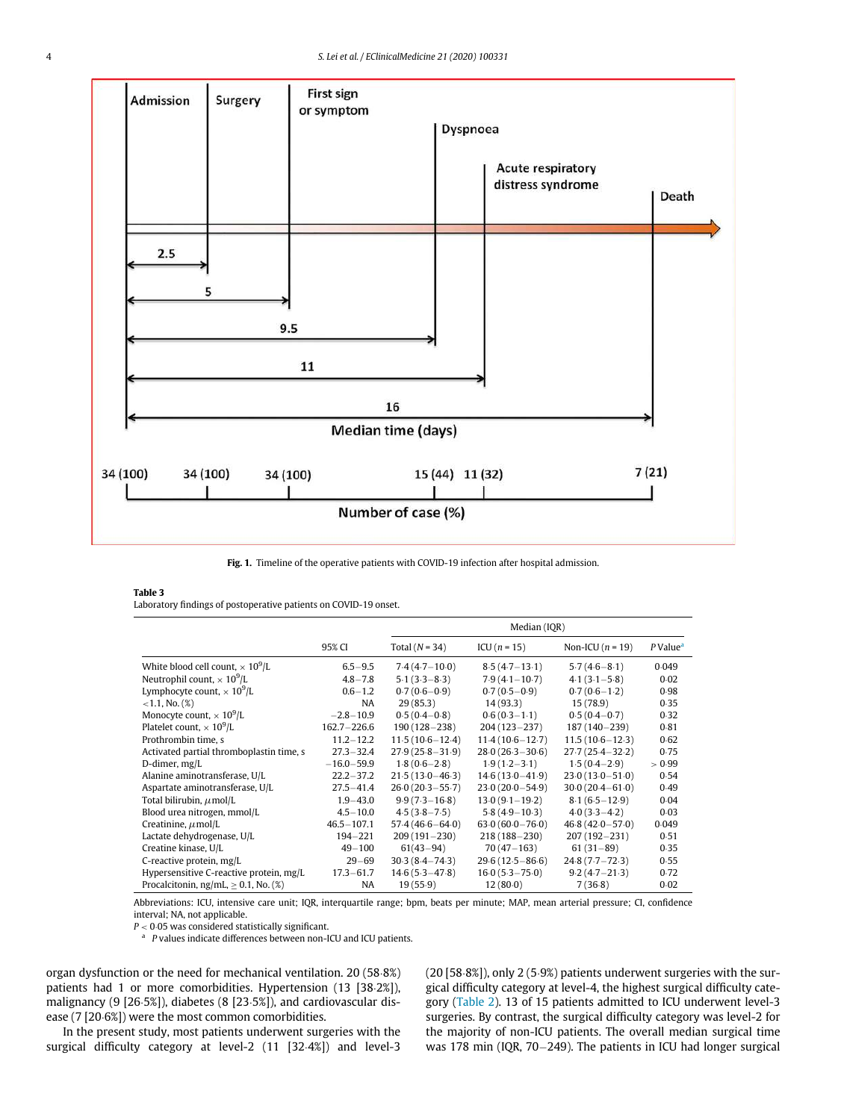<span id="page-3-1"></span>

Fig. 1. Timeline of the operative patients with COVID-19 infection after hospital admission.

#### <span id="page-3-2"></span>Table 3

Laboratory findings of postoperative patients on COVID-19 onset.

|                                           |                 | Median (IQR)        |                     |                     |                      |  |
|-------------------------------------------|-----------------|---------------------|---------------------|---------------------|----------------------|--|
|                                           | 95% CI          | Total $(N = 34)$    | $ICU(n = 15)$       | Non-ICU $(n = 19)$  | P Value <sup>a</sup> |  |
| White blood cell count, $\times 10^9$ /L  | $6.5 - 9.5$     | $7.4(4.7-10.0)$     | $8.5(4.7 - 13.1)$   | $5.7(4.6 - 8.1)$    | 0.049                |  |
| Neutrophil count, $\times 10^9$ /L        | $4.8 - 7.8$     | $5.1(3.3 - 8.3)$    | $7.9(4.1 - 10.7)$   | $4.1(3.1 - 5.8)$    | 0.02                 |  |
| Lymphocyte count, $\times 10^9$ /L        | $0.6 - 1.2$     | $0.7(0.6-0.9)$      | $0.7(0.5-0.9)$      | $0.7(0.6-1.2)$      | 0.98                 |  |
| $<1.1$ , No. $(\%)$                       | NA              | 29(85.3)            | 14(93.3)            | 15(78.9)            | 0.35                 |  |
| Monocyte count, $\times 10^9$ /L          | $-2.8 - 10.9$   | $0.5(0.4-0.8)$      | $0.6(0.3-1.1)$      | $0.5(0.4-0.7)$      | 0.32                 |  |
| Platelet count, $\times 10^9$ /L          | $162.7 - 226.6$ | $190(128 - 238)$    | $204(123 - 237)$    | $187(140 - 239)$    | 0.81                 |  |
| Prothrombin time, s                       | $11.2 - 12.2$   | $11.5(10.6 - 12.4)$ | $11.4(10.6 - 12.7)$ | $11.5(10.6 - 12.3)$ | 0.62                 |  |
| Activated partial thromboplastin time, s  | $27.3 - 32.4$   | $27.9(25.8 - 31.9)$ | $28.0(26.3 - 30.6)$ | $27.7(25.4 - 32.2)$ | 0.75                 |  |
| D-dimer, mg/L                             | $-16.0 - 59.9$  | $1.8(0.6 - 2.8)$    | $1.9(1.2 - 3.1)$    | $1.5(0.4 - 2.9)$    | > 0.99               |  |
| Alanine aminotransferase, U/L             | $22.2 - 37.2$   | $21.5(13.0 - 46.3)$ | $14.6(13.0 - 41.9)$ | $23.0(13.0 - 51.0)$ | 0.54                 |  |
| Aspartate aminotransferase, U/L           | $27.5 - 41.4$   | $26.0(20.3 - 55.7)$ | $23.0(20.0 - 54.9)$ | $30.0(20.4 - 61.0)$ | 0.49                 |  |
| Total bilirubin, $\mu$ mol/L              | $1.9 - 43.0$    | $9.9(7.3 - 16.8)$   | $13.0(9.1 - 19.2)$  | $8.1(6.5 - 12.9)$   | 0.04                 |  |
| Blood urea nitrogen, mmol/L               | $4.5 - 10.0$    | $4.5(3.8 - 7.5)$    | $5.8(4.9 - 10.3)$   | $4.0(3.3 - 4.2)$    | 0.03                 |  |
| Creatinine, $\mu$ mol/L                   | $46.5 - 107.1$  | $57.4(46.6 - 64.0)$ | $63.0(60.0 - 76.0)$ | $46.8(42.0 - 57.0)$ | 0.049                |  |
| Lactate dehydrogenase, U/L                | $194 - 221$     | $209(191 - 230)$    | $218(188 - 230)$    | $207(192 - 231)$    | 0.51                 |  |
| Creatine kinase, U/L                      | $49 - 100$      | $61(43-94)$         | $70(47 - 163)$      | $61(31-89)$         | 0.35                 |  |
| C-reactive protein, mg/L                  | $29 - 69$       | $30.3(8.4 - 74.3)$  | $29.6(12.5 - 86.6)$ | $24.8(7.7 - 72.3)$  | 0.55                 |  |
| Hypersensitive C-reactive protein, mg/L   | $17.3 - 61.7$   | $14.6(5.3 - 47.8)$  | $16.0(5.3 - 75.0)$  | $9.2(4.7 - 21.3)$   | 0.72                 |  |
| Procalcitonin, ng/mL, $\geq$ 0.1, No. (%) | NA.             | 19(55.9)            | 12(80.0)            | 7(36.8)             | 0.02                 |  |

Abbreviations: ICU, intensive care unit; IQR, interquartile range; bpm, beats per minute; MAP, mean arterial pressure; CI, confidence interval; NA, not applicable.<br> $P < 0.05$  was considered statistically significant.

 $P$  values indicate differences between non-ICU and ICU patients.

<span id="page-3-0"></span>organ dysfunction or the need for mechanical ventilation. 20 (58.8%) patients had 1 or more comorbidities. Hypertension (13 [38-2%]), malignancy (9 [26 $5\%$ ]), diabetes (8 [23 $5\%$ ]), and cardiovascular disease (7 [20 $6\%)$ ) were the most common comorbidities.

In the present study, most patients underwent surgeries with the surgical difficulty category at level-2 (11 [32.4%]) and level-3  $(20 [58.8\%])$ , only 2 (5.9%) patients underwent surgeries with the surgical difficulty category at level-4, the highest surgical difficulty category ([Table 2](#page-2-0)). 13 of 15 patients admitted to ICU underwent level-3 surgeries. By contrast, the surgical difficulty category was level-2 for the majority of non-ICU patients. The overall median surgical time was 178 min (IQR, 70 $-249$ ). The patients in ICU had longer surgical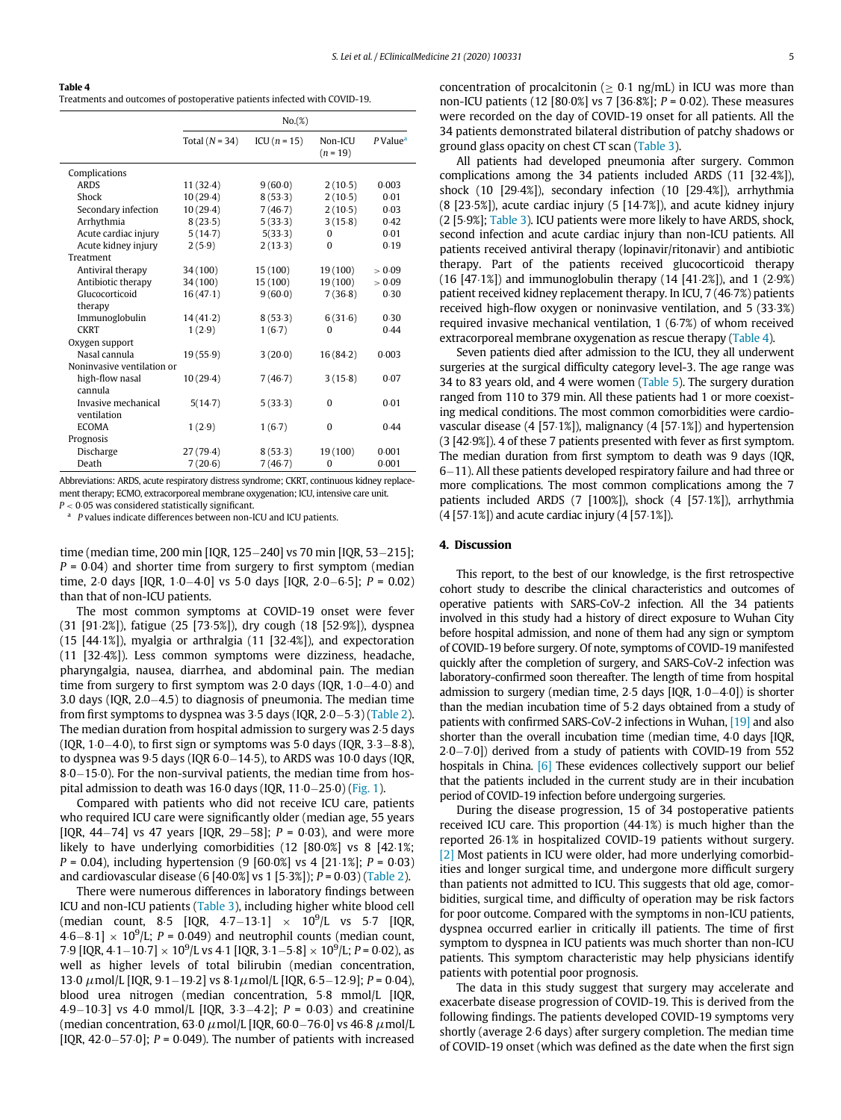<span id="page-4-0"></span>Table 4

Treatments and outcomes of postoperative patients infected with COVID-19.

|                            | No.(%)           |               |                       |                      |  |  |
|----------------------------|------------------|---------------|-----------------------|----------------------|--|--|
|                            | Total $(N = 34)$ | $ICU(n = 15)$ | Non-ICU<br>$(n = 19)$ | P Value <sup>a</sup> |  |  |
| Complications              |                  |               |                       |                      |  |  |
| <b>ARDS</b>                | 11(32.4)         | 9(60.0)       | 2(10.5)               | 0.003                |  |  |
| Shock                      | 10(29.4)         | 8(53.3)       | 2(10.5)               | 0.01                 |  |  |
| Secondary infection        | 10(29.4)         | 7(46.7)       | 2(10.5)               | 0.03                 |  |  |
| Arrhythmia                 | 8(23.5)          | 5(33.3)       | 3(15.8)               | 0.42                 |  |  |
| Acute cardiac injury       | 5(14.7)          | 5(33.3)       | $\Omega$              | 0.01                 |  |  |
| Acute kidney injury        | 2(5.9)           | 2(13.3)       | $\theta$              | 0.19                 |  |  |
| Treatment                  |                  |               |                       |                      |  |  |
| Antiviral therapy          | 34 (100)         | 15 (100)      | 19(100)               | > 0.09               |  |  |
| Antibiotic therapy         | 34 (100)         | 15 (100)      | 19(100)               | > 0.09               |  |  |
| Glucocorticoid             | 16(47.1)         | 9(60.0)       | 7(36.8)               | 0.30                 |  |  |
| therapy                    |                  |               |                       |                      |  |  |
| Immunoglobulin             | 14(41.2)         | 8(53.3)       | 6(31.6)               | 0.30                 |  |  |
| <b>CKRT</b>                | 1(2.9)           | 1(6.7)        | $\Omega$              | 0.44                 |  |  |
| Oxygen support             |                  |               |                       |                      |  |  |
| Nasal cannula              | 19(55.9)         | 3(20.0)       | 16(84.2)              | 0.003                |  |  |
| Noninvasive ventilation or |                  |               |                       |                      |  |  |
| high-flow nasal            | 10(29.4)         | 7(46.7)       | 3(15.8)               | 0.07                 |  |  |
| cannula                    |                  |               |                       |                      |  |  |
| Invasive mechanical        | 5(14.7)          | 5(33.3)       | $\Omega$              | 0.01                 |  |  |
| ventilation                |                  |               |                       |                      |  |  |
| <b>ECOMA</b>               | 1(2.9)           | 1(6.7)        | 0                     | 0.44                 |  |  |
| Prognosis                  |                  |               |                       |                      |  |  |
| Discharge                  | 27 (79.4)        | 8(53.3)       | 19 (100)              | 0.001                |  |  |
| Death                      | 7(20.6)          | 7(46.7)       | $\Omega$              | 0.001                |  |  |

Abbreviations: ARDS, acute respiratory distress syndrome; CKRT, continuous kidney replacement therapy; ECMO, extracorporeal membrane oxygenation; ICU, intensive care unit.

<span id="page-4-1"></span> $P < 0.05$  was considered statistically significant.<br><sup>a</sup> P values indicate differences between non-ICU and ICU patients.

time (median time, 200 min [IQR, 125-240] vs 70 min [IQR, 53-215];  $P = 0.04$ ) and shorter time from surgery to first symptom (median time, 2 $\cdot$ 0 days [IQR, 1 $\cdot$ 0 $-$ 4 $\cdot$ 0] vs 5 $\cdot$ 0 days [IQR, 2 $\cdot$ 0 $-$ 6 $\cdot$ 5]; P = 0.02) than that of non-ICU patients.

The most common symptoms at COVID-19 onset were fever (31 [91.2%]), fatigue (25 [73.5%]), dry cough (18 [52.9%]), dyspnea (15  $[44.1\%]$ ), myalgia or arthralgia (11  $[32.4\%]$ ), and expectoration (11 [32.4%]). Less common symptoms were dizziness, headache, pharyngalgia, nausea, diarrhea, and abdominal pain. The median time from surgery to first symptom was 2 $\cdot$ 0 days (IQR, 1 $\cdot$ 0 $-4\cdot$ 0) and 3.0 days (IQR,  $2.0-4.5$ ) to diagnosis of pneumonia. The median time from first symptoms to dyspnea was  $3·5$  days (IQR,  $2·0-5·3$ ) ([Table 2\)](#page-2-0). The median duration from hospital admission to surgery was 2.5 days (IQR,  $1·0-4·0$ ), to first sign or symptoms was 5 $·0$  days (IQR,  $3·3-8·8$ ), to dyspnea was  $9·5$  days (IQR  $6·0-14·5$ ), to ARDS was 10 $·0$  days (IQR,  $8·0-15·0$ ). For the non-survival patients, the median time from hospital admission to death was 16 $\cdot$ 0 days (IQR, 11 $\cdot$ 0-25 $\cdot$ 0) ([Fig. 1\)](#page-3-1).

Compared with patients who did not receive ICU care, patients who required ICU care were significantly older (median age, 55 years [IQR, 44-74] vs 47 years [IQR, 29-58];  $P = 0.03$ ), and were more likely to have underlying comorbidities  $(12 \, 80.0\%)$  vs 8  $[42.1\%$ ;  $P = 0.04$ ), including hypertension (9 [60 $\cdot$ 0%] vs 4 [21 $\cdot$ 1%]; P = 0 $\cdot$ 03) and cardiovascular disease (6  $[40.0\%]$  vs 1  $[5.3\%]$ ); P = 0.03) [\(Table 2](#page-2-0)).

There were numerous differences in laboratory findings between ICU and non-ICU patients ([Table 3](#page-3-2)), including higher white blood cell (median count, 8.5 [IQR, 4.7–13.1]  $\times$  10<sup>9</sup>/L vs 5.7 [IQR,  $(4.6-8.1] \times 10^9$ /L;  $P = 0.049$ ) and neutrophil counts (median count, 7.9 [IQR, 4.1–10.7]  $\times 10^9$ /L vs 4.1 [IQR, 3.1–5.8]  $\times 10^9$ /L; P = 0.02), as well as higher levels of total bilirubin (median concentration, 13⋅0  $\mu$ mol/L [IQR, 9⋅1−19⋅2] vs 8⋅1 $\mu$ mol/L [IQR, 6⋅5−12⋅9]; P = 0⋅04), blood urea nitrogen (median concentration, 5.8 mmol/L [IQR, 4.9–10.3] vs 4.0 mmol/L [IQR, 3.3–4.2];  $P = 0.03$  and creatinine (median concentration, 63 $\cdot$ 0  $\mu$ mol/L [IQR, 60 $\cdot$ 0–76 $\cdot$ 0] vs 46 $\cdot$ 8  $\mu$ mol/L [IQR, 42 $-57.0$ ]; P = 0 $0.049$ ). The number of patients with increased

concentration of procalcitonin ( $\geq 0.1$  ng/mL) in ICU was more than non-ICU patients (12 [80 $0\%$ ] vs 7 [36 $8\%$ ]; P = 0 $0\%$ ). These measures were recorded on the day of COVID-19 onset for all patients. All the 34 patients demonstrated bilateral distribution of patchy shadows or ground glass opacity on chest CT scan [\(Table 3\)](#page-3-2).

All patients had developed pneumonia after surgery. Common complications among the 34 patients included ARDS (11 [32.4%]), shock  $(10 [29.4%])$ , secondary infection  $(10 [29.4%])$ , arrhythmia  $(8 [23.5\%])$ , acute cardiac injury  $(5 [14.7\%])$ , and acute kidney injury (2 [5.9%]; [Table 3](#page-3-2)). ICU patients were more likely to have ARDS, shock, second infection and acute cardiac injury than non-ICU patients. All patients received antiviral therapy (lopinavir/ritonavir) and antibiotic therapy. Part of the patients received glucocorticoid therapy  $(16 [47·1%)$  and immunoglobulin therapy  $(14 [41·2%)$ , and  $1 (2·9%)$ patient received kidney replacement therapy. In ICU, 7 (46.7%) patients received high-flow oxygen or noninvasive ventilation, and 5 (33.3%) required invasive mechanical ventilation,  $1(6.7%)$  of whom received extracorporeal membrane oxygenation as rescue therapy [\(Table 4\)](#page-4-0).

Seven patients died after admission to the ICU, they all underwent surgeries at the surgical difficulty category level-3. The age range was 34 to 83 years old, and 4 were women [\(Table 5\)](#page-5-0). The surgery duration ranged from 110 to 379 min. All these patients had 1 or more coexisting medical conditions. The most common comorbidities were cardiovascular disease  $(4 [57.1\%])$ , malignancy  $(4 [57.1\%])$  and hypertension (3 [42.9%]). 4 of these 7 patients presented with fever as first symptom. The median duration from first symptom to death was 9 days (IQR,  $6-11$ ). All these patients developed respiratory failure and had three or more complications. The most common complications among the 7 patients included ARDS  $(7 \mid 100\%)$ , shock  $(4 \mid 57.1\%)$ , arrhythmia  $(4 [57.1\%])$  and acute cardiac injury  $(4 [57.1\%])$ .

#### 4. Discussion

This report, to the best of our knowledge, is the first retrospective cohort study to describe the clinical characteristics and outcomes of operative patients with SARS-CoV-2 infection. All the 34 patients involved in this study had a history of direct exposure to Wuhan City before hospital admission, and none of them had any sign or symptom of COVID-19 before surgery. Of note, symptoms of COVID-19 manifested quickly after the completion of surgery, and SARS-CoV-2 infection was laboratory-confirmed soon thereafter. The length of time from hospital admission to surgery (median time,  $2·5$  days [IQR,  $1·0-4·0$ ]) is shorter than the median incubation time of 5.2 days obtained from a study of patients with confirmed SARS-CoV-2 infections in Wuhan, [\[19\]](#page-7-7) and also shorter than the overall incubation time (median time, 4.0 days [IQR, 2⋅0-7⋅0]) derived from a study of patients with COVID-19 from 552 hospitals in China. [\[6\]](#page-6-9) These evidences collectively support our belief that the patients included in the current study are in their incubation period of COVID-19 infection before undergoing surgeries.

During the disease progression, 15 of 34 postoperative patients received ICU care. This proportion  $(44.1%)$  is much higher than the reported 26.1% in hospitalized COVID-19 patients without surgery. [\[2\]](#page-6-1) Most patients in ICU were older, had more underlying comorbidities and longer surgical time, and undergone more difficult surgery than patients not admitted to ICU. This suggests that old age, comorbidities, surgical time, and difficulty of operation may be risk factors for poor outcome. Compared with the symptoms in non-ICU patients, dyspnea occurred earlier in critically ill patients. The time of first symptom to dyspnea in ICU patients was much shorter than non-ICU patients. This symptom characteristic may help physicians identify patients with potential poor prognosis.

The data in this study suggest that surgery may accelerate and exacerbate disease progression of COVID-19. This is derived from the following findings. The patients developed COVID-19 symptoms very shortly (average 2 $6$  days) after surgery completion. The median time of COVID-19 onset (which was defined as the date when the first sign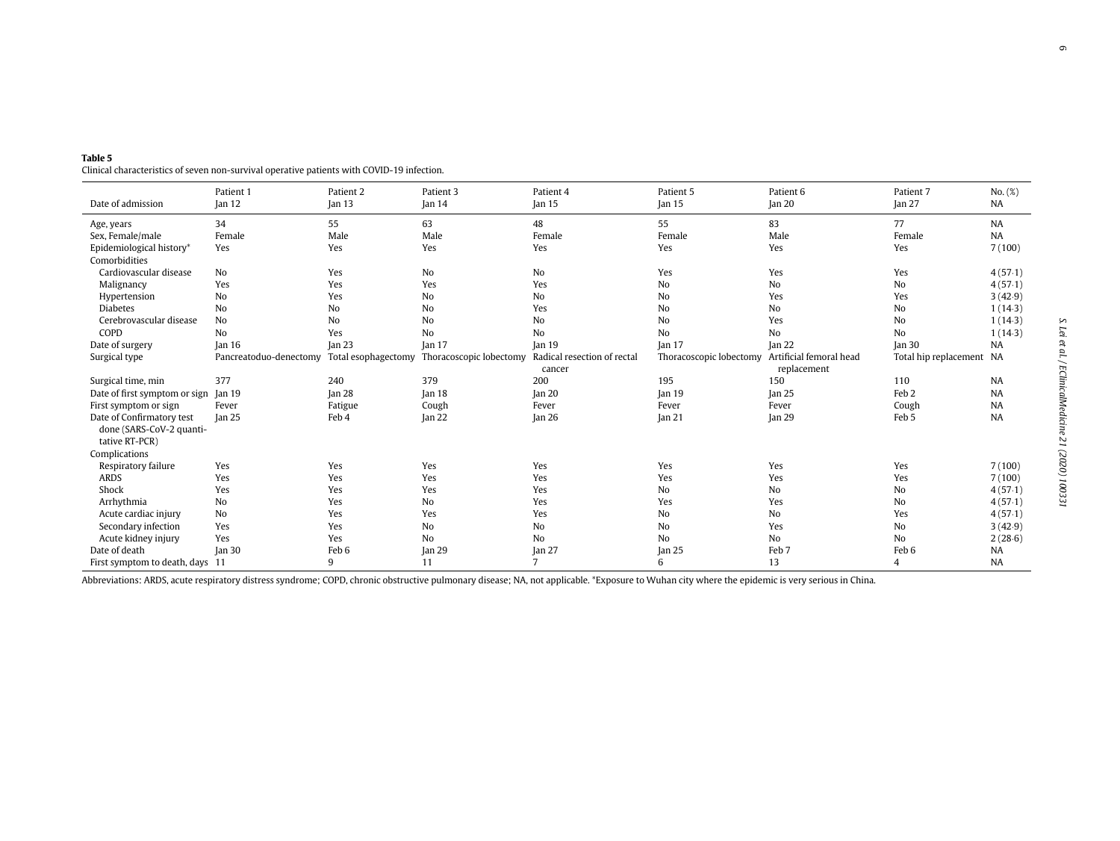| Date of admission               | Patient 1<br>Jan <sub>12</sub> | Patient 2<br>Jan $13$ | Patient 3<br>Jan <sub>14</sub> | Patient 4<br>Jan <sub>15</sub> | Patient 5<br>Jan <sub>15</sub>                  | Patient 6<br>$\tan 20$ | Patient 7<br>lan <sub>27</sub> | No. (%)<br>NA |
|---------------------------------|--------------------------------|-----------------------|--------------------------------|--------------------------------|-------------------------------------------------|------------------------|--------------------------------|---------------|
| Age, years                      | 34                             | 55                    | 63                             | 48                             | 55                                              | 83                     | 77                             | <b>NA</b>     |
| Sex, Female/male                | Female                         | Male                  | Male                           | Female                         | Female                                          | Male                   | Female                         | <b>NA</b>     |
| Epidemiological history*        | Yes                            | Yes                   | Yes                            | Yes                            | Yes                                             | Yes                    | Yes                            | 7(100)        |
| Comorbidities                   |                                |                       |                                |                                |                                                 |                        |                                |               |
| Cardiovascular disease          | <b>No</b>                      | Yes                   | N <sub>o</sub>                 | No                             | Yes                                             | Yes                    | Yes                            | 4(57.1)       |
| Malignancy                      | Yes                            | Yes                   | Yes                            | Yes                            | No                                              | No                     | No                             | 4(57.1)       |
| Hypertension                    | No                             | Yes                   | N <sub>o</sub>                 | <b>No</b>                      | N <sub>o</sub>                                  | Yes                    | Yes                            | 3(42.9)       |
| <b>Diabetes</b>                 | N <sub>0</sub>                 | No                    | No                             | Yes                            | No                                              | No                     | No                             | 1(14.3)       |
| Cerebrovascular disease         | N <sub>o</sub>                 | N <sub>o</sub>        | N <sub>o</sub>                 | No                             | No                                              | Yes                    | No                             | 1(14.3)       |
| COPD                            | <b>No</b>                      | Yes                   | N <sub>o</sub>                 | N <sub>o</sub>                 | N <sub>o</sub>                                  | N <sub>o</sub>         | N <sub>o</sub>                 | 1(14.3)       |
| Date of surgery                 | Ian <sub>16</sub>              | Jan <sub>23</sub>     | Jan <sub>17</sub>              | Jan <sub>19</sub>              | Jan <sub>17</sub>                               | Jan 22                 | Jan <sub>30</sub>              | NA            |
| Surgical type                   | Pancreatoduo-denectomy         | Total esophagectomy   | Thoracoscopic lobectomy        | Radical resection of rectal    | Thoracoscopic lobectomy Artificial femoral head |                        | Total hip replacement NA       |               |
|                                 |                                |                       |                                | cancer                         |                                                 | replacement            |                                |               |
| Surgical time, min              | 377                            | 240                   | 379                            | 200                            | 195                                             | 150                    | 110                            | <b>NA</b>     |
| Date of first symptom or sign   | Ian 19                         | Jan 28                | Ian 18                         | Jan <sub>20</sub>              | Jan <sub>19</sub>                               | Jan <sub>25</sub>      | Feb <sub>2</sub>               | NA            |
| First symptom or sign           | Fever                          | Fatigue               | Cough                          | Fever                          | Fever                                           | Fever                  | Cough                          | <b>NA</b>     |
| Date of Confirmatory test       | Jan <sub>25</sub>              | Feb 4                 | Jan <sub>22</sub>              | Jan <sub>26</sub>              | Jan 21                                          | Jan <sub>29</sub>      | Feb 5                          | <b>NA</b>     |
| done (SARS-CoV-2 quanti-        |                                |                       |                                |                                |                                                 |                        |                                |               |
| tative RT-PCR)                  |                                |                       |                                |                                |                                                 |                        |                                |               |
| Complications                   |                                |                       |                                |                                |                                                 |                        |                                |               |
| Respiratory failure             | Yes                            | Yes                   | Yes                            | Yes                            | Yes                                             | Yes                    | Yes                            | 7(100)        |
| <b>ARDS</b>                     | Yes                            | Yes                   | Yes                            | Yes                            | Yes                                             | Yes                    | Yes                            | 7(100)        |
| Shock                           | Yes                            | Yes                   | Yes                            | Yes                            | No                                              | No                     | No                             | 4(57.1)       |
| Arrhythmia                      | No                             | Yes                   | N <sub>o</sub>                 | Yes                            | Yes                                             | Yes                    | No                             | 4(57.1)       |
| Acute cardiac injury            | No                             | Yes                   | Yes                            | Yes                            | No                                              | No                     | Yes                            | 4(57.1)       |
| Secondary infection             | Yes                            | Yes                   | N <sub>o</sub>                 | No                             | N <sub>o</sub>                                  | Yes                    | <b>No</b>                      | 3(42.9)       |
| Acute kidney injury             | Yes                            | Yes                   | N <sub>o</sub>                 | <b>No</b>                      | N <sub>o</sub>                                  | No                     | No                             | 2(28.6)       |
| Date of death                   | Jan <sub>30</sub>              | Feb 6                 | Jan <sub>29</sub>              | Jan $27$                       | Jan <sub>25</sub>                               | Feb 7                  | Feb 6                          | <b>NA</b>     |
| First symptom to death, days 11 |                                | 9                     | 11                             | 7                              | 6                                               | 13                     | $\overline{4}$                 | <b>NA</b>     |

<span id="page-5-0"></span>Table 5Clinical characteristics of seven non-survival operative patients with COVID-19 infection.

Abbreviations: ARDS, acute respiratory distress syndrome; COPD, chronic obstructive pulmonary disease; NA, not applicable. \*Exposure to Wuhan city where the epidemic is very serious in China.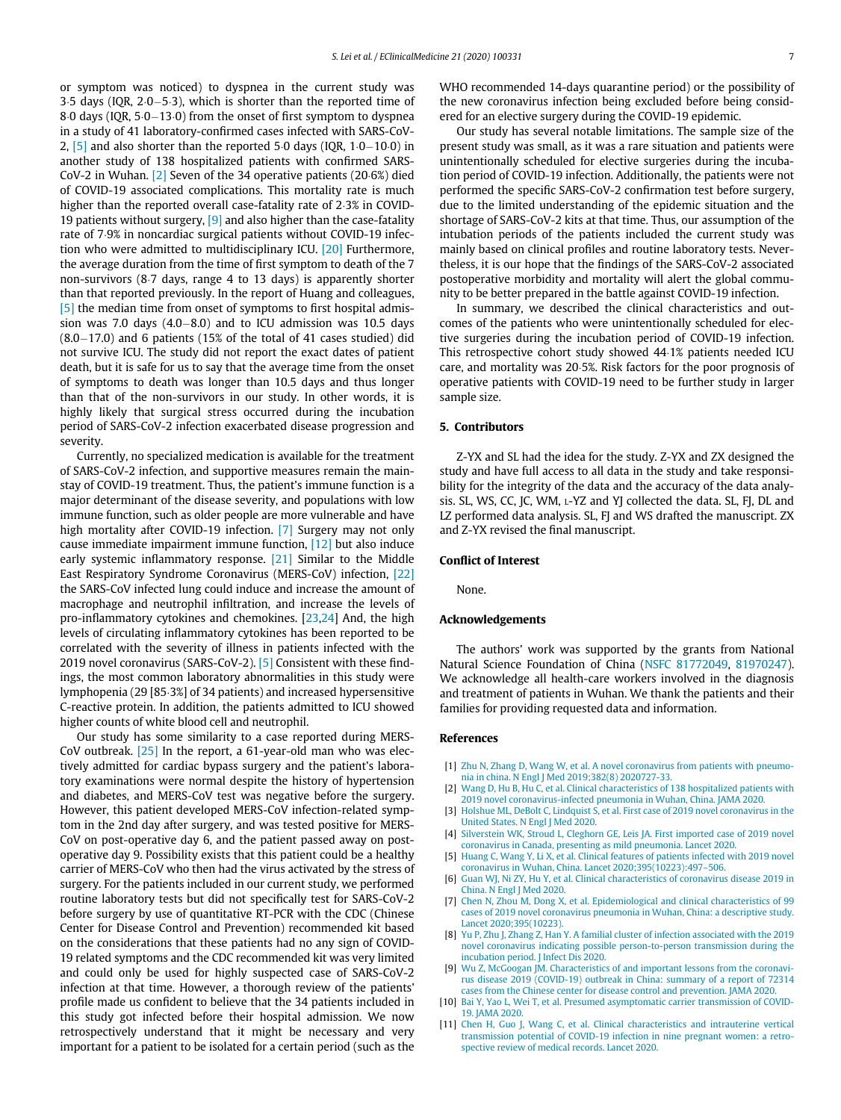or symptom was noticed) to dyspnea in the current study was 3.5 days (IQR,  $2.0-5.3$ ), which is shorter than the reported time of 8 $\cdot$ 0 days (IQR, 5 $\cdot$ 0 $-13\cdot$ 0) from the onset of first symptom to dyspnea in a study of 41 laboratory-confirmed cases infected with SARS-CoV-2,  $\left[5\right]$  and also shorter than the reported 5 $\cdot$ 0 days (IQR, 1 $\cdot$ 0-10 $\cdot$ 0) in another study of 138 hospitalized patients with confirmed SARS-CoV-2 in Wuhan. [\[2\]](#page-6-1) Seven of the 34 operative patients (20.6%) died of COVID-19 associated complications. This mortality rate is much higher than the reported overall case-fatality rate of 2.3% in COVID-19 patients without surgery,  $[9]$  and also higher than the case-fatality rate of 7.9% in noncardiac surgical patients without COVID-19 infection who were admitted to multidisciplinary ICU. [\[20\]](#page-7-8) Furthermore, the average duration from the time of first symptom to death of the 7 non-survivors (8.7 days, range 4 to 13 days) is apparently shorter than that reported previously. In the report of Huang and colleagues, [\[5\]](#page-6-4) the median time from onset of symptoms to first hospital admission was 7.0 days  $(4.0-8.0)$  and to ICU admission was 10.5 days  $(8.0-17.0)$  and 6 patients (15% of the total of 41 cases studied) did not survive ICU. The study did not report the exact dates of patient death, but it is safe for us to say that the average time from the onset of symptoms to death was longer than 10.5 days and thus longer than that of the non-survivors in our study. In other words, it is highly likely that surgical stress occurred during the incubation period of SARS-CoV-2 infection exacerbated disease progression and severity.

Currently, no specialized medication is available for the treatment of SARS-CoV-2 infection, and supportive measures remain the mainstay of COVID-19 treatment. Thus, the patient's immune function is a major determinant of the disease severity, and populations with low immune function, such as older people are more vulnerable and have high mortality after COVID-19 infection. [\[7\]](#page-6-10) Surgery may not only cause immediate impairment immune function, [\[12\]](#page-7-0) but also induce early systemic inflammatory response. [\[21\]](#page-7-9) Similar to the Middle East Respiratory Syndrome Coronavirus (MERS-CoV) infection, [\[22\]](#page-7-10) the SARS-CoV infected lung could induce and increase the amount of macrophage and neutrophil infiltration, and increase the levels of pro-inflammatory cytokines and chemokines. [[23,](#page-7-11)[24\]](#page-7-12) And, the high levels of circulating inflammatory cytokines has been reported to be correlated with the severity of illness in patients infected with the 2019 novel coronavirus (SARS-CoV-2). [\[5\]](#page-6-4) Consistent with these findings, the most common laboratory abnormalities in this study were lymphopenia (29 [85.3%] of 34 patients) and increased hypersensitive C-reactive protein. In addition, the patients admitted to ICU showed higher counts of white blood cell and neutrophil.

<span id="page-6-11"></span><span id="page-6-10"></span><span id="page-6-9"></span><span id="page-6-8"></span><span id="page-6-7"></span><span id="page-6-6"></span><span id="page-6-5"></span><span id="page-6-4"></span><span id="page-6-3"></span><span id="page-6-2"></span><span id="page-6-1"></span><span id="page-6-0"></span>Our study has some similarity to a case reported during MERS-CoV outbreak. [\[25\]](#page-7-13) In the report, a 61-year-old man who was electively admitted for cardiac bypass surgery and the patient's laboratory examinations were normal despite the history of hypertension and diabetes, and MERS-CoV test was negative before the surgery. However, this patient developed MERS-CoV infection-related symptom in the 2nd day after surgery, and was tested positive for MERS-CoV on post-operative day 6, and the patient passed away on postoperative day 9. Possibility exists that this patient could be a healthy carrier of MERS-CoV who then had the virus activated by the stress of surgery. For the patients included in our current study, we performed routine laboratory tests but did not specifically test for SARS-CoV-2 before surgery by use of quantitative RT-PCR with the CDC (Chinese Center for Disease Control and Prevention) recommended kit based on the considerations that these patients had no any sign of COVID-19 related symptoms and the CDC recommended kit was very limited and could only be used for highly suspected case of SARS-CoV-2 infection at that time. However, a thorough review of the patients' profile made us confident to believe that the 34 patients included in this study got infected before their hospital admission. We now retrospectively understand that it might be necessary and very important for a patient to be isolated for a certain period (such as the WHO recommended 14-days quarantine period) or the possibility of the new coronavirus infection being excluded before being considered for an elective surgery during the COVID-19 epidemic.

Our study has several notable limitations. The sample size of the present study was small, as it was a rare situation and patients were unintentionally scheduled for elective surgeries during the incubation period of COVID-19 infection. Additionally, the patients were not performed the specific SARS-CoV-2 confirmation test before surgery, due to the limited understanding of the epidemic situation and the shortage of SARS-CoV-2 kits at that time. Thus, our assumption of the intubation periods of the patients included the current study was mainly based on clinical profiles and routine laboratory tests. Nevertheless, it is our hope that the findings of the SARS-CoV-2 associated postoperative morbidity and mortality will alert the global community to be better prepared in the battle against COVID-19 infection.

In summary, we described the clinical characteristics and outcomes of the patients who were unintentionally scheduled for elective surgeries during the incubation period of COVID-19 infection. This retrospective cohort study showed 44.1% patients needed ICU care, and mortality was 20.5%. Risk factors for the poor prognosis of operative patients with COVID-19 need to be further study in larger sample size.

### 5. Contributors

Z-YX and SL had the idea for the study. Z-YX and ZX designed the study and have full access to all data in the study and take responsibility for the integrity of the data and the accuracy of the data analysis. SL, WS, CC, JC, WM, L-YZ and YJ collected the data. SL, FJ, DL and LZ performed data analysis. SL, FJ and WS drafted the manuscript. ZX and Z-YX revised the final manuscript.

#### Conflict of Interest

None.

### Acknowledgements

The authors' work was supported by the grants from National Natural Science Foundation of China ([NSFC 81772049,](#page-6-11) [81970247\)](#page-6-11). We acknowledge all health-care workers involved in the diagnosis and treatment of patients in Wuhan. We thank the patients and their families for providing requested data and information.

#### References

- [1] [Zhu N, Zhang D, Wang W, et al. A novel coronavirus from patients with pneumo](http://refhub.elsevier.com/S2589-5370(20)30075-4/sbref0001)[nia in china. N Engl J Med 2019;382\(8\) 2020727-33.](http://refhub.elsevier.com/S2589-5370(20)30075-4/sbref0001)
- [2] [Wang D, Hu B, Hu C, et al. Clinical characteristics of 138 hospitalized patients with](http://refhub.elsevier.com/S2589-5370(20)30075-4/sbref0002) [2019 novel coronavirus-infected pneumonia in Wuhan, China. JAMA 2020.](http://refhub.elsevier.com/S2589-5370(20)30075-4/sbref0002)
- [3] [Holshue ML, DeBolt C, Lindquist S, et al. First case of 2019 novel coronavirus in the](http://refhub.elsevier.com/S2589-5370(20)30075-4/sbref0003) [United States. N Engl J Med 2020.](http://refhub.elsevier.com/S2589-5370(20)30075-4/sbref0003)
- [4] [Silverstein WK, Stroud L, Cleghorn GE, Leis JA. First imported case of 2019 novel](http://refhub.elsevier.com/S2589-5370(20)30075-4/sbref0004) [coronavirus in Canada, presenting as mild pneumonia. Lancet 2020.](http://refhub.elsevier.com/S2589-5370(20)30075-4/sbref0004)
- [5] [Huang C, Wang Y, Li X, et al. Clinical features of patients infected with 2019 novel](http://refhub.elsevier.com/S2589-5370(20)30075-4/sbref0005) [coronavirus in Wuhan, China. Lancet 2020;395\(10223\):497](http://refhub.elsevier.com/S2589-5370(20)30075-4/sbref0005)–506.
- [6] [Guan WJ, Ni ZY, Hu Y, et al. Clinical characteristics of coronavirus disease 2019 in](http://refhub.elsevier.com/S2589-5370(20)30075-4/sbref0006) [China. N Engl J Med 2020.](http://refhub.elsevier.com/S2589-5370(20)30075-4/sbref0006)
- [7] [Chen N, Zhou M, Dong X, et al. Epidemiological and clinical characteristics of 99](http://refhub.elsevier.com/S2589-5370(20)30075-4/sbref0007) [cases of 2019 novel coronavirus pneumonia in Wuhan, China: a descriptive study.](http://refhub.elsevier.com/S2589-5370(20)30075-4/sbref0007) [Lancet 2020;395\(10223\).](http://refhub.elsevier.com/S2589-5370(20)30075-4/sbref0007)
- [8] [Yu P, Zhu J, Zhang Z, Han Y. A familial cluster of infection associated with the 2019](http://refhub.elsevier.com/S2589-5370(20)30075-4/sbref0008) [novel coronavirus indicating possible person-to-person transmission during the](http://refhub.elsevier.com/S2589-5370(20)30075-4/sbref0008) [incubation period. J Infect Dis 2020.](http://refhub.elsevier.com/S2589-5370(20)30075-4/sbref0008)
- [9] [Wu Z, McGoogan JM. Characteristics of and important lessons from the coronavi](http://refhub.elsevier.com/S2589-5370(20)30075-4/sbref0009)[rus disease 2019 \(COVID-19\) outbreak in China: summary of a report of 72314](http://refhub.elsevier.com/S2589-5370(20)30075-4/sbref0009) [cases from the Chinese center for disease control and prevention. JAMA 2020.](http://refhub.elsevier.com/S2589-5370(20)30075-4/sbref0009)
- [10] [Bai Y, Yao L, Wei T, et al. Presumed asymptomatic carrier transmission of COVID-](http://refhub.elsevier.com/S2589-5370(20)30075-4/sbref0010)[19. JAMA 2020.](http://refhub.elsevier.com/S2589-5370(20)30075-4/sbref0010)
- [11] [Chen H, Guo J, Wang C, et al. Clinical characteristics and intrauterine vertical](http://refhub.elsevier.com/S2589-5370(20)30075-4/sbref0011) [transmission potential of COVID-19 infection in nine pregnant women: a retro](http://refhub.elsevier.com/S2589-5370(20)30075-4/sbref0011)[spective review of medical records. Lancet 2020.](http://refhub.elsevier.com/S2589-5370(20)30075-4/sbref0011)